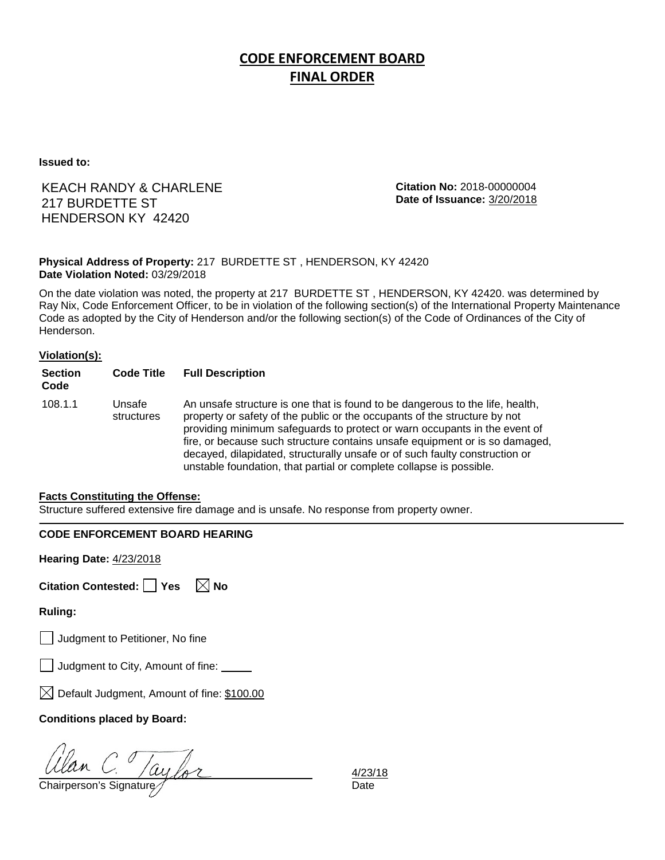# **CODE ENFORCEMENT BOARD FINAL ORDER**

**Issued to:**

## KEACH RANDY & CHARLENE 217 BURDETTE ST HENDERSON KY 42420

**Citation No:** 2018-00000004 **Date of Issuance:** 3/20/2018

#### **Physical Address of Property:** 217 BURDETTE ST , HENDERSON, KY 42420 **Date Violation Noted:** 03/29/2018

On the date violation was noted, the property at 217 BURDETTE ST , HENDERSON, KY 42420. was determined by Ray Nix, Code Enforcement Officer, to be in violation of the following section(s) of the International Property Maintenance Code as adopted by the City of Henderson and/or the following section(s) of the Code of Ordinances of the City of Henderson.

#### **Violation(s):**

| <b>Section</b><br>Code | <b>Code Title</b>    | <b>Full Description</b>                                                                                                                                                                                                                                                                                                                                                                                                                                                      |
|------------------------|----------------------|------------------------------------------------------------------------------------------------------------------------------------------------------------------------------------------------------------------------------------------------------------------------------------------------------------------------------------------------------------------------------------------------------------------------------------------------------------------------------|
| 108.1.1                | Unsafe<br>structures | An unsafe structure is one that is found to be dangerous to the life, health,<br>property or safety of the public or the occupants of the structure by not<br>providing minimum safeguards to protect or warn occupants in the event of<br>fire, or because such structure contains unsafe equipment or is so damaged,<br>decayed, dilapidated, structurally unsafe or of such faulty construction or<br>unstable foundation, that partial or complete collapse is possible. |

#### **Facts Constituting the Offense:**

Structure suffered extensive fire damage and is unsafe. No response from property owner.

### **CODE ENFORCEMENT BOARD HEARING**

**Hearing Date:** 4/23/2018

| Citation Contested: Yes |  | $\boxtimes$ No |
|-------------------------|--|----------------|
|-------------------------|--|----------------|

**Ruling:**

Judgment to Petitioner, No fine

Judgment to City, Amount of fine: \_\_\_\_\_

 $\boxtimes$  Default Judgment, Amount of fine: \$100.00

### **Conditions placed by Board:**

Ulan C. Taylor 4/23/<br>Chairperson's Signature de Late

4/23/18